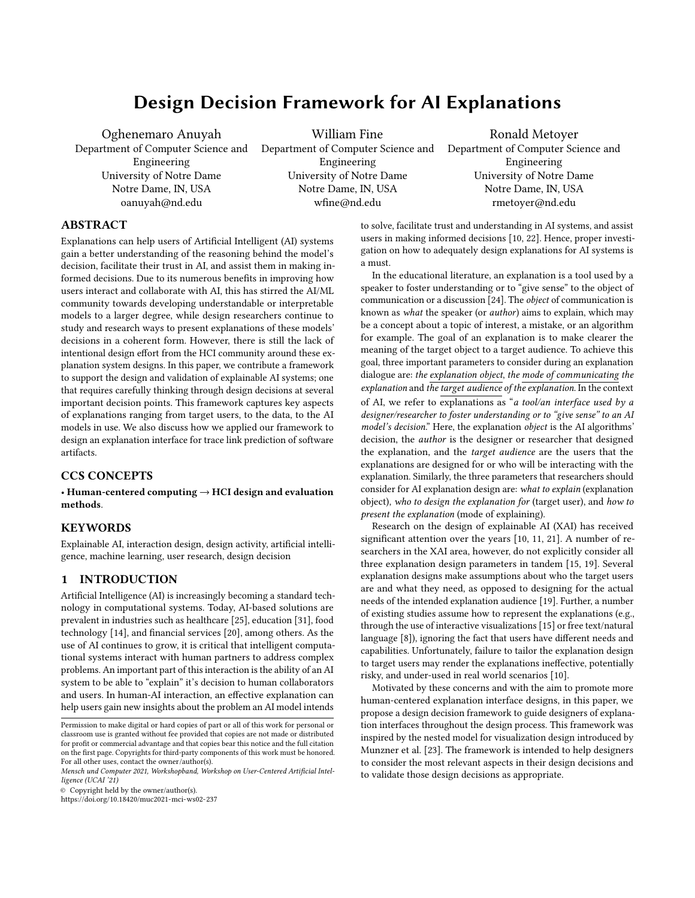# Design Decision Framework for AI Explanations

Oghenemaro Anuyah Department of Computer Science and Engineering University of Notre Dame Notre Dame, IN, USA oanuyah@nd.edu

William Fine Department of Computer Science and Engineering University of Notre Dame Notre Dame, IN, USA wfine@nd.edu

Ronald Metoyer Department of Computer Science and Engineering University of Notre Dame Notre Dame, IN, USA rmetoyer@nd.edu

# ABSTRACT

Explanations can help users of Artificial Intelligent (AI) systems gain a better understanding of the reasoning behind the model's decision, facilitate their trust in AI, and assist them in making informed decisions. Due to its numerous benefits in improving how users interact and collaborate with AI, this has stirred the AI/ML community towards developing understandable or interpretable models to a larger degree, while design researchers continue to study and research ways to present explanations of these models' decisions in a coherent form. However, there is still the lack of intentional design effort from the HCI community around these explanation system designs. In this paper, we contribute a framework to support the design and validation of explainable AI systems; one that requires carefully thinking through design decisions at several important decision points. This framework captures key aspects of explanations ranging from target users, to the data, to the AI models in use. We also discuss how we applied our framework to design an explanation interface for trace link prediction of software artifacts.

# CCS CONCEPTS

• Human-centered computing  $\rightarrow$  HCI design and evaluation methods.

## **KEYWORDS**

Explainable AI, interaction design, design activity, artificial intelligence, machine learning, user research, design decision

# 1 INTRODUCTION

Artificial Intelligence (AI) is increasingly becoming a standard technology in computational systems. Today, AI-based solutions are prevalent in industries such as healthcare [\[25\]](#page-6-0), education [\[31\]](#page-6-1), food technology [\[14\]](#page-6-2), and financial services [\[20\]](#page-6-3), among others. As the use of AI continues to grow, it is critical that intelligent computational systems interact with human partners to address complex problems. An important part of this interaction is the ability of an AI system to be able to "explain" it's decision to human collaborators and users. In human-AI interaction, an effective explanation can help users gain new insights about the problem an AI model intends

© Copyright held by the owner/author(s).

<https://doi.org/10.18420/muc2021-mci-ws02-237>

to solve, facilitate trust and understanding in AI systems, and assist users in making informed decisions [\[10,](#page-6-4) [22\]](#page-6-5). Hence, proper investigation on how to adequately design explanations for AI systems is a must.

In the educational literature, an explanation is a tool used by a speaker to foster understanding or to "give sense" to the object of communication or a discussion [\[24\]](#page-6-6). The object of communication is known as what the speaker (or author) aims to explain, which may be a concept about a topic of interest, a mistake, or an algorithm for example. The goal of an explanation is to make clearer the meaning of the target object to a target audience. To achieve this goal, three important parameters to consider during an explanation dialogue are: the explanation object, the mode of communicating the explanation and the target audience of the explanation. In the context of AI, we refer to explanations as "a tool/an interface used by a designer/researcher to foster understanding or to "give sense" to an AI model's decision." Here, the explanation object is the AI algorithms' decision, the author is the designer or researcher that designed the explanation, and the target audience are the users that the explanations are designed for or who will be interacting with the explanation. Similarly, the three parameters that researchers should consider for AI explanation design are: what to explain (explanation object), who to design the explanation for (target user), and how to present the explanation (mode of explaining).

Research on the design of explainable AI (XAI) has received significant attention over the years [\[10,](#page-6-4) [11,](#page-6-7) [21\]](#page-6-8). A number of researchers in the XAI area, however, do not explicitly consider all three explanation design parameters in tandem [\[15,](#page-6-9) [19\]](#page-6-10). Several explanation designs make assumptions about who the target users are and what they need, as opposed to designing for the actual needs of the intended explanation audience [\[19\]](#page-6-10). Further, a number of existing studies assume how to represent the explanations (e.g., through the use of interactive visualizations [\[15\]](#page-6-9) or free text/natural language [\[8\]](#page-6-11)), ignoring the fact that users have different needs and capabilities. Unfortunately, failure to tailor the explanation design to target users may render the explanations ineffective, potentially risky, and under-used in real world scenarios [\[10\]](#page-6-4).

Motivated by these concerns and with the aim to promote more human-centered explanation interface designs, in this paper, we propose a design decision framework to guide designers of explanation interfaces throughout the design process. This framework was inspired by the nested model for visualization design introduced by Munzner et al. [\[23\]](#page-6-12). The framework is intended to help designers to consider the most relevant aspects in their design decisions and to validate those design decisions as appropriate.

Permission to make digital or hard copies of part or all of this work for personal or classroom use is granted without fee provided that copies are not made or distributed for profit or commercial advantage and that copies bear this notice and the full citation on the first page. Copyrights for third-party components of this work must be honored. For all other uses, contact the owner/author(s).

Mensch und Computer 2021, Workshopband, Workshop on User-Centered Artificial Intelligence (UCAI '21)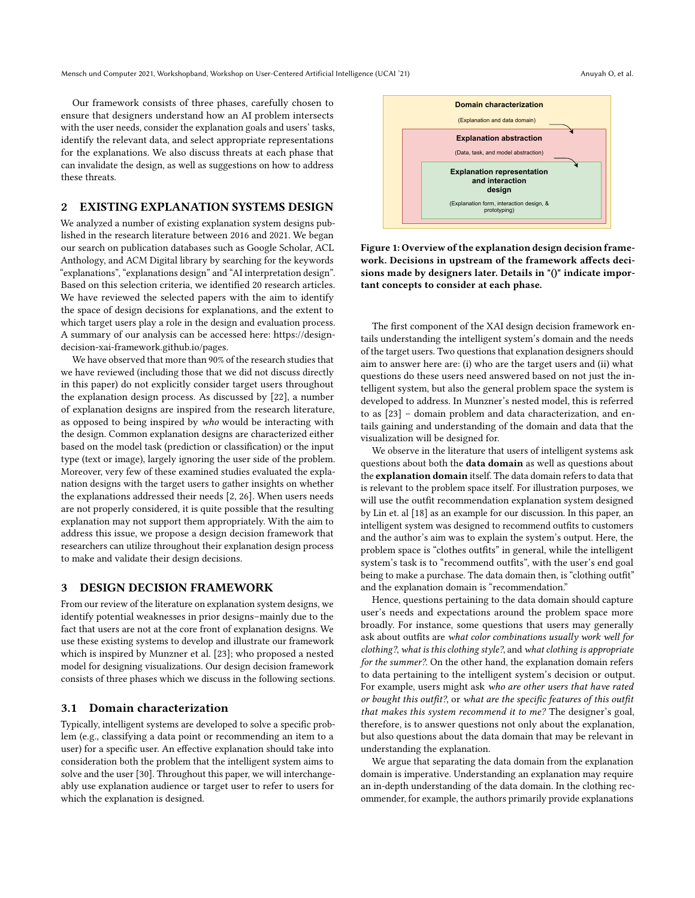Mensch und Computer 2021, Workshopband, Workshop on User-Centered Artificial Intelligence (UCAI '21) Anuyah O, et al.

Our framework consists of three phases, carefully chosen to ensure that designers understand how an AI problem intersects with the user needs, consider the explanation goals and users' tasks, identify the relevant data, and select appropriate representations for the explanations. We also discuss threats at each phase that can invalidate the design, as well as suggestions on how to address these threats.

# 2 EXISTING EXPLANATION SYSTEMS DESIGN

We analyzed a number of existing explanation system designs published in the research literature between 2016 and 2021. We began our search on publication databases such as Google Scholar, ACL Anthology, and ACM Digital library by searching for the keywords "explanations", "explanations design" and "AI interpretation design". Based on this selection criteria, we identified 20 research articles. We have reviewed the selected papers with the aim to identify the space of design decisions for explanations, and the extent to which target users play a role in the design and evaluation process. A summary of our analysis can be accessed here: [https://design](https://design-decision-xai-framework.github.io/pages/design_analysis.html)[decision-xai-framework.github.io/pages.](https://design-decision-xai-framework.github.io/pages/design_analysis.html)

We have observed that more than 90% of the research studies that we have reviewed (including those that we did not discuss directly in this paper) do not explicitly consider target users throughout the explanation design process. As discussed by [\[22\]](#page-6-5), a number of explanation designs are inspired from the research literature, as opposed to being inspired by who would be interacting with the design. Common explanation designs are characterized either based on the model task (prediction or classification) or the input type (text or image), largely ignoring the user side of the problem. Moreover, very few of these examined studies evaluated the explanation designs with the target users to gather insights on whether the explanations addressed their needs [\[2,](#page-6-13) [26\]](#page-6-14). When users needs are not properly considered, it is quite possible that the resulting explanation may not support them appropriately. With the aim to address this issue, we propose a design decision framework that researchers can utilize throughout their explanation design process to make and validate their design decisions.

## 3 DESIGN DECISION FRAMEWORK

From our review of the literature on explanation system designs, we identify potential weaknesses in prior designs–mainly due to the fact that users are not at the core front of explanation designs. We use these existing systems to develop and illustrate our framework which is inspired by Munzner et al. [\[23\]](#page-6-12); who proposed a nested model for designing visualizations. Our design decision framework consists of three phases which we discuss in the following sections.

### <span id="page-1-0"></span>3.1 Domain characterization

Typically, intelligent systems are developed to solve a specific problem (e.g., classifying a data point or recommending an item to a user) for a specific user. An effective explanation should take into consideration both the problem that the intelligent system aims to solve and the user [\[30\]](#page-6-15). Throughout this paper, we will interchangeably use explanation audience or target user to refer to users for which the explanation is designed.



Figure 1: Overview of the explanation design decision framework. Decisions in upstream of the framework affects decisions made by designers later. Details in "()" indicate important concepts to consider at each phase.

The first component of the XAI design decision framework entails understanding the intelligent system's domain and the needs of the target users. Two questions that explanation designers should aim to answer here are: (i) who are the target users and (ii) what questions do these users need answered based on not just the intelligent system, but also the general problem space the system is developed to address. In Munzner's nested model, this is referred to as [\[23\]](#page-6-12) – domain problem and data characterization, and entails gaining and understanding of the domain and data that the visualization will be designed for.

We observe in the literature that users of intelligent systems ask questions about both the data domain as well as questions about the explanation domain itself. The data domain refers to data that is relevant to the problem space itself. For illustration purposes, we will use the outfit recommendation explanation system designed by Lin et. al [\[18\]](#page-6-16) as an example for our discussion. In this paper, an intelligent system was designed to recommend outfits to customers and the author's aim was to explain the system's output. Here, the problem space is "clothes outfits" in general, while the intelligent system's task is to "recommend outfits", with the user's end goal being to make a purchase. The data domain then, is "clothing outfit" and the explanation domain is "recommendation."

Hence, questions pertaining to the data domain should capture user's needs and expectations around the problem space more broadly. For instance, some questions that users may generally ask about outfits are what color combinations usually work well for clothing?, what is this clothing style?, and what clothing is appropriate for the summer?. On the other hand, the explanation domain refers to data pertaining to the intelligent system's decision or output. For example, users might ask who are other users that have rated or bought this outfit?, or what are the specific features of this outfit that makes this system recommend it to me? The designer's goal, therefore, is to answer questions not only about the explanation, but also questions about the data domain that may be relevant in understanding the explanation.

We argue that separating the data domain from the explanation domain is imperative. Understanding an explanation may require an in-depth understanding of the data domain. In the clothing recommender, for example, the authors primarily provide explanations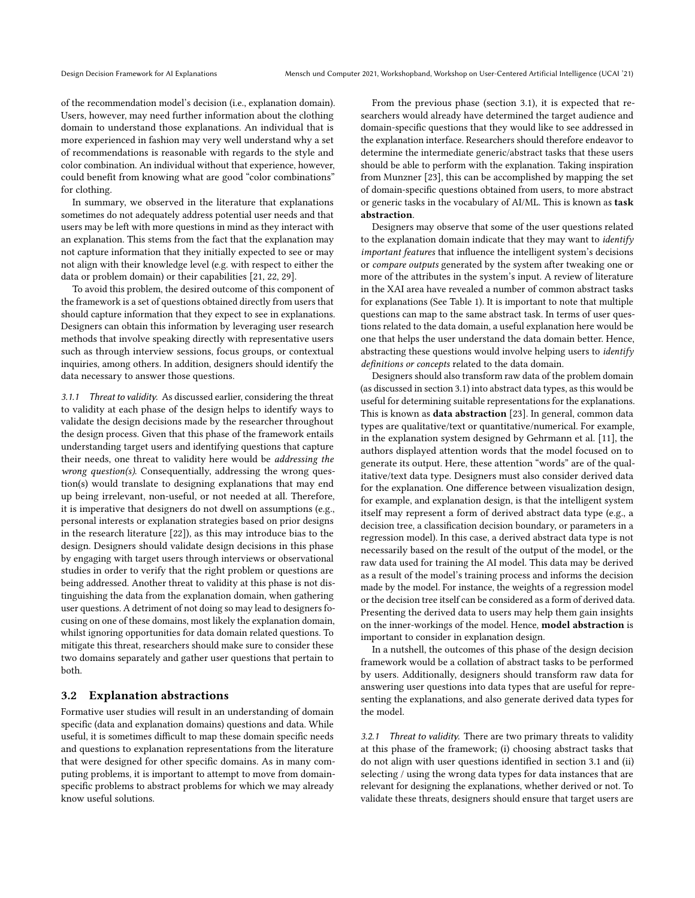of the recommendation model's decision (i.e., explanation domain). Users, however, may need further information about the clothing domain to understand those explanations. An individual that is more experienced in fashion may very well understand why a set of recommendations is reasonable with regards to the style and color combination. An individual without that experience, however, could benefit from knowing what are good "color combinations" for clothing.

In summary, we observed in the literature that explanations sometimes do not adequately address potential user needs and that users may be left with more questions in mind as they interact with an explanation. This stems from the fact that the explanation may not capture information that they initially expected to see or may not align with their knowledge level (e.g. with respect to either the data or problem domain) or their capabilities [\[21,](#page-6-8) [22,](#page-6-5) [29\]](#page-6-17).

To avoid this problem, the desired outcome of this component of the framework is a set of questions obtained directly from users that should capture information that they expect to see in explanations. Designers can obtain this information by leveraging user research methods that involve speaking directly with representative users such as through interview sessions, focus groups, or contextual inquiries, among others. In addition, designers should identify the data necessary to answer those questions.

3.1.1 Threat to validity. As discussed earlier, considering the threat to validity at each phase of the design helps to identify ways to validate the design decisions made by the researcher throughout the design process. Given that this phase of the framework entails understanding target users and identifying questions that capture their needs, one threat to validity here would be addressing the wrong question(s). Consequentially, addressing the wrong question(s) would translate to designing explanations that may end up being irrelevant, non-useful, or not needed at all. Therefore, it is imperative that designers do not dwell on assumptions (e.g., personal interests or explanation strategies based on prior designs in the research literature [\[22\]](#page-6-5)), as this may introduce bias to the design. Designers should validate design decisions in this phase by engaging with target users through interviews or observational studies in order to verify that the right problem or questions are being addressed. Another threat to validity at this phase is not distinguishing the data from the explanation domain, when gathering user questions. A detriment of not doing so may lead to designers focusing on one of these domains, most likely the explanation domain, whilst ignoring opportunities for data domain related questions. To mitigate this threat, researchers should make sure to consider these two domains separately and gather user questions that pertain to both.

#### <span id="page-2-0"></span>3.2 Explanation abstractions

Formative user studies will result in an understanding of domain specific (data and explanation domains) questions and data. While useful, it is sometimes difficult to map these domain specific needs and questions to explanation representations from the literature that were designed for other specific domains. As in many computing problems, it is important to attempt to move from domainspecific problems to abstract problems for which we may already know useful solutions.

From the previous phase (section [3.1\)](#page-1-0), it is expected that researchers would already have determined the target audience and domain-specific questions that they would like to see addressed in the explanation interface. Researchers should therefore endeavor to determine the intermediate generic/abstract tasks that these users should be able to perform with the explanation. Taking inspiration from Munzner [\[23\]](#page-6-12), this can be accomplished by mapping the set of domain-specific questions obtained from users, to more abstract or generic tasks in the vocabulary of AI/ML. This is known as task abstraction.

Designers may observe that some of the user questions related to the explanation domain indicate that they may want to identify important features that influence the intelligent system's decisions or compare outputs generated by the system after tweaking one or more of the attributes in the system's input. A review of literature in the XAI area have revealed a number of common abstract tasks for explanations (See Table [1\)](#page-3-0). It is important to note that multiple questions can map to the same abstract task. In terms of user questions related to the data domain, a useful explanation here would be one that helps the user understand the data domain better. Hence, abstracting these questions would involve helping users to identify definitions or concepts related to the data domain.

Designers should also transform raw data of the problem domain (as discussed in section [3.1\)](#page-1-0) into abstract data types, as this would be useful for determining suitable representations for the explanations. This is known as data abstraction [\[23\]](#page-6-12). In general, common data types are qualitative/text or quantitative/numerical. For example, in the explanation system designed by Gehrmann et al. [\[11\]](#page-6-7), the authors displayed attention words that the model focused on to generate its output. Here, these attention "words" are of the qualitative/text data type. Designers must also consider derived data for the explanation. One difference between visualization design, for example, and explanation design, is that the intelligent system itself may represent a form of derived abstract data type (e.g., a decision tree, a classification decision boundary, or parameters in a regression model). In this case, a derived abstract data type is not necessarily based on the result of the output of the model, or the raw data used for training the AI model. This data may be derived as a result of the model's training process and informs the decision made by the model. For instance, the weights of a regression model or the decision tree itself can be considered as a form of derived data. Presenting the derived data to users may help them gain insights on the inner-workings of the model. Hence, model abstraction is important to consider in explanation design.

In a nutshell, the outcomes of this phase of the design decision framework would be a collation of abstract tasks to be performed by users. Additionally, designers should transform raw data for answering user questions into data types that are useful for representing the explanations, and also generate derived data types for the model.

3.2.1 Threat to validity. There are two primary threats to validity at this phase of the framework; (i) choosing abstract tasks that do not align with user questions identified in section [3.1](#page-1-0) and (ii) selecting / using the wrong data types for data instances that are relevant for designing the explanations, whether derived or not. To validate these threats, designers should ensure that target users are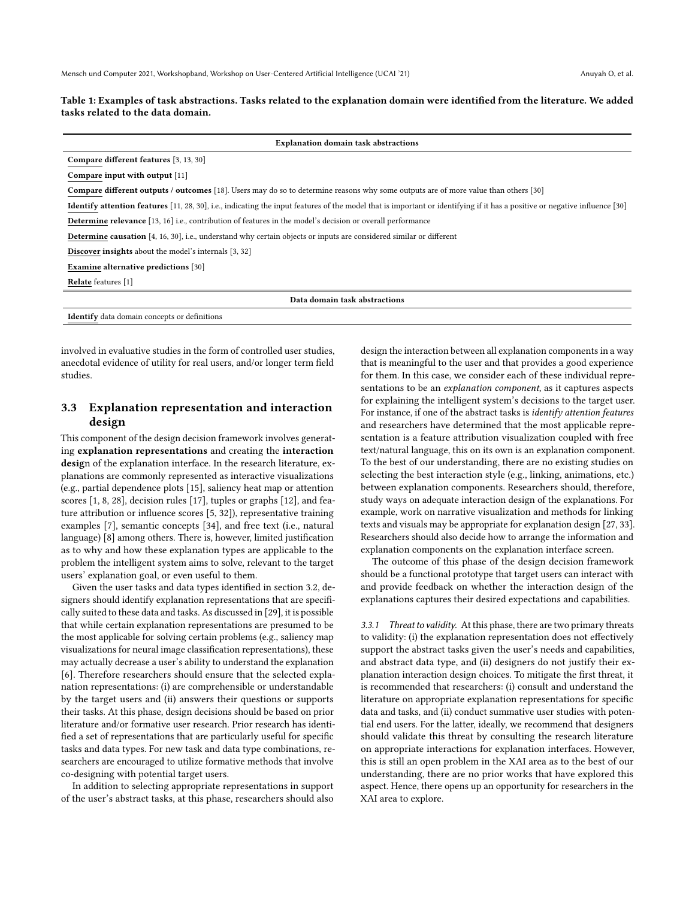#### <span id="page-3-0"></span>Table 1: Examples of task abstractions. Tasks related to the explanation domain were identified from the literature. We added tasks related to the data domain.

| <b>Explanation domain task abstractions</b>                                                                                                                                        |  |  |  |
|------------------------------------------------------------------------------------------------------------------------------------------------------------------------------------|--|--|--|
| Compare different features [3, 13, 30]                                                                                                                                             |  |  |  |
| Compare input with output [11]                                                                                                                                                     |  |  |  |
| <b>Compare different outputs / outcomes</b> [18]. Users may do so to determine reasons why some outputs are of more value than others [30]                                         |  |  |  |
| <b>Identify attention features</b> [11, 28, 30], i.e., indicating the input features of the model that is important or identifying if it has a positive or negative influence [30] |  |  |  |
| <b>Determine relevance</b> [13, 16] i.e., contribution of features in the model's decision or overall performance                                                                  |  |  |  |
| Determine causation [4, 16, 30], i.e., understand why certain objects or inputs are considered similar or different                                                                |  |  |  |
| <b>Discover insights</b> about the model's internals [3, 32]                                                                                                                       |  |  |  |
| Examine alternative predictions [30]                                                                                                                                               |  |  |  |
| <b>Relate</b> features [1]                                                                                                                                                         |  |  |  |
| Data domain task abstractions                                                                                                                                                      |  |  |  |
| <b>Identify</b> data domain concepts or definitions                                                                                                                                |  |  |  |

involved in evaluative studies in the form of controlled user studies, anecdotal evidence of utility for real users, and/or longer term field studies.

## 3.3 Explanation representation and interaction design

This component of the design decision framework involves generating explanation representations and creating the interaction design of the explanation interface. In the research literature, explanations are commonly represented as interactive visualizations (e.g., partial dependence plots [\[15\]](#page-6-9), saliency heat map or attention scores [\[1,](#page-6-24) [8,](#page-6-11) [28\]](#page-6-20), decision rules [\[17\]](#page-6-25), tuples or graphs [\[12\]](#page-6-26), and feature attribution or influence scores [\[5,](#page-6-27) [32\]](#page-6-23)), representative training examples [\[7\]](#page-6-28), semantic concepts [\[34\]](#page-6-29), and free text (i.e., natural language) [\[8\]](#page-6-11) among others. There is, however, limited justification as to why and how these explanation types are applicable to the problem the intelligent system aims to solve, relevant to the target users' explanation goal, or even useful to them.

Given the user tasks and data types identified in section [3.2,](#page-2-0) designers should identify explanation representations that are specifically suited to these data and tasks. As discussed in [\[29\]](#page-6-17), it is possible that while certain explanation representations are presumed to be the most applicable for solving certain problems (e.g., saliency map visualizations for neural image classification representations), these may actually decrease a user's ability to understand the explanation [\[6\]](#page-6-30). Therefore researchers should ensure that the selected explanation representations: (i) are comprehensible or understandable by the target users and (ii) answers their questions or supports their tasks. At this phase, design decisions should be based on prior literature and/or formative user research. Prior research has identified a set of representations that are particularly useful for specific tasks and data types. For new task and data type combinations, researchers are encouraged to utilize formative methods that involve co-designing with potential target users.

In addition to selecting appropriate representations in support of the user's abstract tasks, at this phase, researchers should also design the interaction between all explanation components in a way that is meaningful to the user and that provides a good experience for them. In this case, we consider each of these individual representations to be an *explanation component*, as it captures aspects for explaining the intelligent system's decisions to the target user. For instance, if one of the abstract tasks is identify attention features and researchers have determined that the most applicable representation is a feature attribution visualization coupled with free text/natural language, this on its own is an explanation component. To the best of our understanding, there are no existing studies on selecting the best interaction style (e.g., linking, animations, etc.) between explanation components. Researchers should, therefore, study ways on adequate interaction design of the explanations. For example, work on narrative visualization and methods for linking texts and visuals may be appropriate for explanation design [\[27,](#page-6-31) [33\]](#page-6-32). Researchers should also decide how to arrange the information and explanation components on the explanation interface screen.

The outcome of this phase of the design decision framework should be a functional prototype that target users can interact with and provide feedback on whether the interaction design of the explanations captures their desired expectations and capabilities.

3.3.1 Threat to validity. At this phase, there are two primary threats to validity: (i) the explanation representation does not effectively support the abstract tasks given the user's needs and capabilities, and abstract data type, and (ii) designers do not justify their explanation interaction design choices. To mitigate the first threat, it is recommended that researchers: (i) consult and understand the literature on appropriate explanation representations for specific data and tasks, and (ii) conduct summative user studies with potential end users. For the latter, ideally, we recommend that designers should validate this threat by consulting the research literature on appropriate interactions for explanation interfaces. However, this is still an open problem in the XAI area as to the best of our understanding, there are no prior works that have explored this aspect. Hence, there opens up an opportunity for researchers in the XAI area to explore.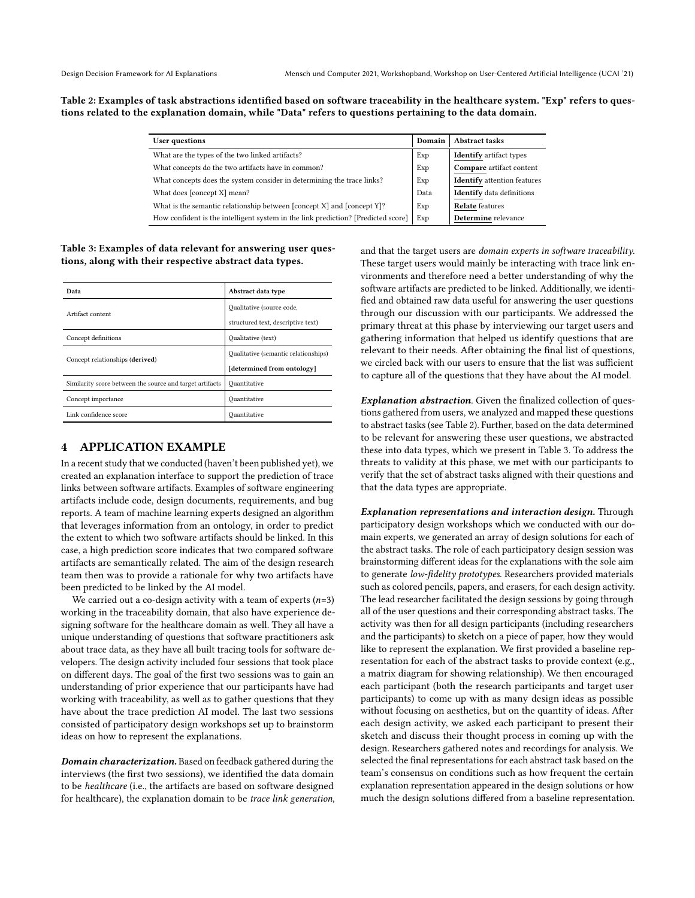<span id="page-4-0"></span>Table 2: Examples of task abstractions identified based on software traceability in the healthcare system. "Exp" refers to questions related to the explanation domain, while "Data" refers to questions pertaining to the data domain.

| User questions                                                                    | Domain | Abstract tasks                     |
|-----------------------------------------------------------------------------------|--------|------------------------------------|
| What are the types of the two linked artifacts?                                   | Exp    | <b>Identify</b> artifact types     |
| What concepts do the two artifacts have in common?                                | Exp    | Compare artifact content           |
| What concepts does the system consider in determining the trace links?            | Exp    | <b>Identify</b> attention features |
| What does [concept X] mean?                                                       | Data   | <b>Identify</b> data definitions   |
| What is the semantic relationship between [concept X] and [concept Y]?            | Exp    | <b>Relate</b> features             |
| How confident is the intelligent system in the link prediction? [Predicted score] | Exp    | Determine relevance                |
|                                                                                   |        |                                    |

## <span id="page-4-1"></span>Table 3: Examples of data relevant for answering user questions, along with their respective abstract data types.

| Data                                                     | Abstract data type                   |  |
|----------------------------------------------------------|--------------------------------------|--|
| Artifact content                                         | Qualitative (source code,            |  |
|                                                          | structured text, descriptive text)   |  |
| Concept definitions                                      | Qualitative (text)                   |  |
| Concept relationships (derived)                          | Qualitative (semantic relationships) |  |
|                                                          | [determined from ontology]           |  |
| Similarity score between the source and target artifacts | Ouantitative                         |  |
| Concept importance                                       | Ouantitative                         |  |
| Link confidence score                                    | Ouantitative                         |  |

# 4 APPLICATION EXAMPLE

In a recent study that we conducted (haven't been published yet), we created an explanation interface to support the prediction of trace links between software artifacts. Examples of software engineering artifacts include code, design documents, requirements, and bug reports. A team of machine learning experts designed an algorithm that leverages information from an ontology, in order to predict the extent to which two software artifacts should be linked. In this case, a high prediction score indicates that two compared software artifacts are semantically related. The aim of the design research team then was to provide a rationale for why two artifacts have been predicted to be linked by the AI model.

We carried out a co-design activity with a team of experts  $(n=3)$ working in the traceability domain, that also have experience designing software for the healthcare domain as well. They all have a unique understanding of questions that software practitioners ask about trace data, as they have all built tracing tools for software developers. The design activity included four sessions that took place on different days. The goal of the first two sessions was to gain an understanding of prior experience that our participants have had working with traceability, as well as to gather questions that they have about the trace prediction AI model. The last two sessions consisted of participatory design workshops set up to brainstorm ideas on how to represent the explanations.

Domain characterization. Based on feedback gathered during the interviews (the first two sessions), we identified the data domain to be healthcare (i.e., the artifacts are based on software designed for healthcare), the explanation domain to be trace link generation, and that the target users are domain experts in software traceability. These target users would mainly be interacting with trace link environments and therefore need a better understanding of why the software artifacts are predicted to be linked. Additionally, we identified and obtained raw data useful for answering the user questions through our discussion with our participants. We addressed the primary threat at this phase by interviewing our target users and gathering information that helped us identify questions that are relevant to their needs. After obtaining the final list of questions, we circled back with our users to ensure that the list was sufficient to capture all of the questions that they have about the AI model.

Explanation abstraction. Given the finalized collection of questions gathered from users, we analyzed and mapped these questions to abstract tasks (see Table [2\)](#page-4-0). Further, based on the data determined to be relevant for answering these user questions, we abstracted these into data types, which we present in Table [3.](#page-4-1) To address the threats to validity at this phase, we met with our participants to verify that the set of abstract tasks aligned with their questions and that the data types are appropriate.

Explanation representations and interaction design. Through participatory design workshops which we conducted with our domain experts, we generated an array of design solutions for each of the abstract tasks. The role of each participatory design session was brainstorming different ideas for the explanations with the sole aim to generate low-fidelity prototypes. Researchers provided materials such as colored pencils, papers, and erasers, for each design activity. The lead researcher facilitated the design sessions by going through all of the user questions and their corresponding abstract tasks. The activity was then for all design participants (including researchers and the participants) to sketch on a piece of paper, how they would like to represent the explanation. We first provided a baseline representation for each of the abstract tasks to provide context (e.g., a matrix diagram for showing relationship). We then encouraged each participant (both the research participants and target user participants) to come up with as many design ideas as possible without focusing on aesthetics, but on the quantity of ideas. After each design activity, we asked each participant to present their sketch and discuss their thought process in coming up with the design. Researchers gathered notes and recordings for analysis. We selected the final representations for each abstract task based on the team's consensus on conditions such as how frequent the certain explanation representation appeared in the design solutions or how much the design solutions differed from a baseline representation.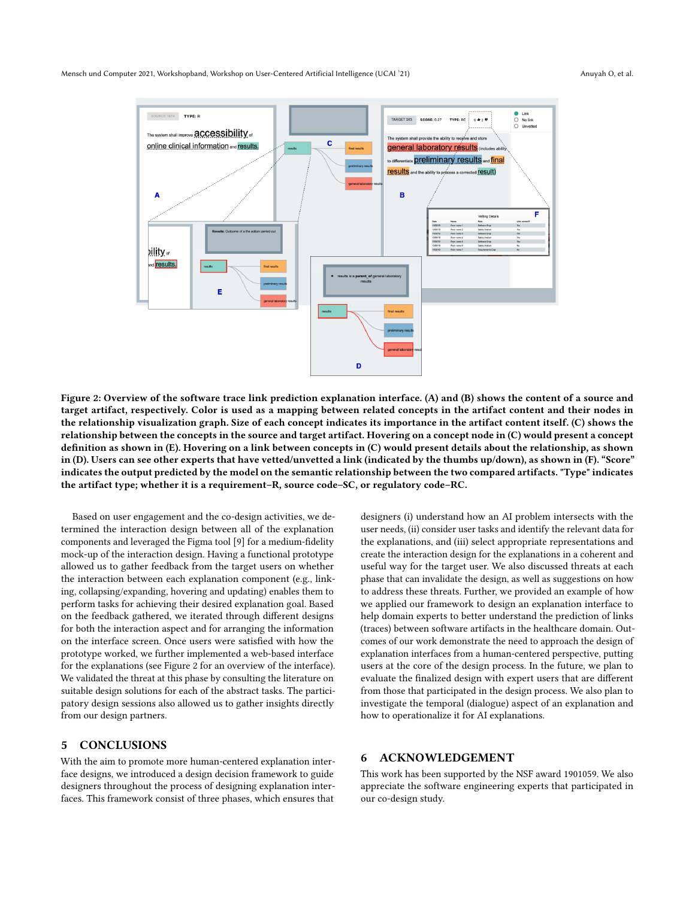<span id="page-5-0"></span>Mensch und Computer 2021, Workshopband, Workshop on User-Centered Artificial Intelligence (UCAI '21) Anuyah O, et al.



Figure 2: Overview of the software trace link prediction explanation interface. (A) and (B) shows the content of a source and target artifact, respectively. Color is used as a mapping between related concepts in the artifact content and their nodes in the relationship visualization graph. Size of each concept indicates its importance in the artifact content itself. (C) shows the relationship between the concepts in the source and target artifact. Hovering on a concept node in (C) would present a concept definition as shown in (E). Hovering on a link between concepts in (C) would present details about the relationship, as shown in (D). Users can see other experts that have vetted/unvetted a link (indicated by the thumbs up/down), as shown in (F). "Score" indicates the output predicted by the model on the semantic relationship between the two compared artifacts. "Type" indicates the artifact type; whether it is a requirement–R, source code–SC, or regulatory code–RC.

Based on user engagement and the co-design activities, we determined the interaction design between all of the explanation components and leveraged the Figma tool [\[9\]](#page-6-33) for a medium-fidelity mock-up of the interaction design. Having a functional prototype allowed us to gather feedback from the target users on whether the interaction between each explanation component (e.g., linking, collapsing/expanding, hovering and updating) enables them to perform tasks for achieving their desired explanation goal. Based on the feedback gathered, we iterated through different designs for both the interaction aspect and for arranging the information on the interface screen. Once users were satisfied with how the prototype worked, we further implemented a web-based interface for the explanations (see Figure [2](#page-5-0) for an overview of the interface). We validated the threat at this phase by consulting the literature on suitable design solutions for each of the abstract tasks. The participatory design sessions also allowed us to gather insights directly from our design partners.

## 5 CONCLUSIONS

With the aim to promote more human-centered explanation interface designs, we introduced a design decision framework to guide designers throughout the process of designing explanation interfaces. This framework consist of three phases, which ensures that

designers (i) understand how an AI problem intersects with the user needs, (ii) consider user tasks and identify the relevant data for the explanations, and (iii) select appropriate representations and create the interaction design for the explanations in a coherent and useful way for the target user. We also discussed threats at each phase that can invalidate the design, as well as suggestions on how to address these threats. Further, we provided an example of how we applied our framework to design an explanation interface to help domain experts to better understand the prediction of links (traces) between software artifacts in the healthcare domain. Outcomes of our work demonstrate the need to approach the design of explanation interfaces from a human-centered perspective, putting users at the core of the design process. In the future, we plan to evaluate the finalized design with expert users that are different from those that participated in the design process. We also plan to investigate the temporal (dialogue) aspect of an explanation and how to operationalize it for AI explanations.

# 6 ACKNOWLEDGEMENT

This work has been supported by the NSF award 1901059. We also appreciate the software engineering experts that participated in our co-design study.